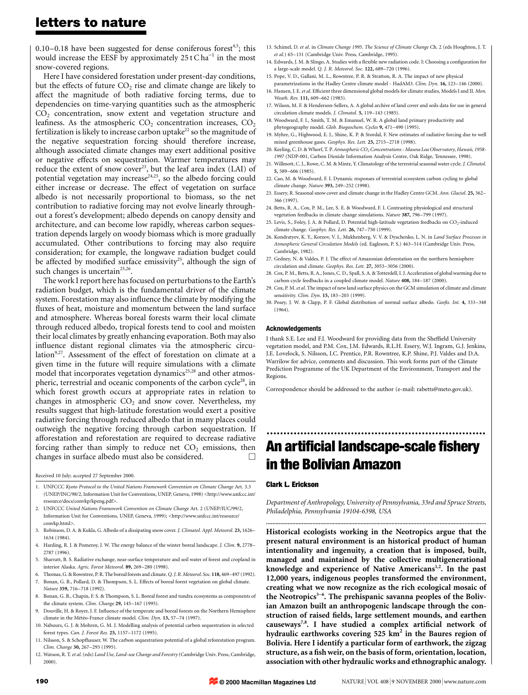### letters to nature

 $0.10-0.18$  have been suggested for dense coniferous forest<sup>4,5</sup>; this would increase the EESF by approximately  $25 \text{ t}$  C ha<sup>-1</sup> in the most snow-covered regions.

Here I have considered forestation under present-day conditions, but the effects of future  $CO<sub>2</sub>$  rise and climate change are likely to affect the magnitude of both radiative forcing terms, due to dependencies on time-varying quantities such as the atmospheric CO<sub>2</sub> concentration, snow extent and vegetation structure and leafiness. As the atmospheric  $CO<sub>2</sub>$  concentration increases,  $CO<sub>2</sub>$ fertilization is likely to increase carbon uptake<sup>22</sup> so the magnitude of the negative sequestration forcing should therefore increase, although associated climate changes may exert additional positive or negative effects on sequestration. Warmer temperatures may reduce the extent of snow cover<sup>23</sup>, but the leaf area index (LAI) of potential vegetation may increase<sup>24,25</sup>, so the albedo forcing could either increase or decrease. The effect of vegetation on surface albedo is not necessarily proportional to biomass, so the net contribution to radiative forcing may not evolve linearly throughout a forest's development; albedo depends on canopy density and architecture, and can become low rapidly, whereas carbon sequestration depends largely on woody biomass which is more gradually accumulated. Other contributions to forcing may also require consideration; for example, the longwave radiation budget could be affected by modified surface emissivity<sup>25</sup>, although the sign of such changes is uncertain<sup>25,26</sup>.

The work I report here has focused on perturbations to the Earth's radiation budget, which is the fundamental driver of the climate system. Forestation may also influence the climate by modifying the fluxes of heat, moisture and momentum between the land surface and atmosphere. Whereas boreal forests warm their local climate through reduced albedo, tropical forests tend to cool and moisten their local climates by greatly enhancing evaporation. Both may also influence distant regional climates via the atmospheric circulation<sup>9,27</sup>. Assessment of the effect of forestation on climate at a given time in the future will require simulations with a climate model that incorporates vegetation dynamics<sup>25,28</sup> and other atmospheric, terrestrial and oceanic components of the carbon cycle<sup>28</sup>, in which forest growth occurs at appropriate rates in relation to changes in atmospheric  $CO<sub>2</sub>$  and snow cover. Nevertheless, my results suggest that high-latitude forestation would exert a positive radiative forcing through reduced albedo that in many places could outweigh the negative forcing through carbon sequestration. If afforestation and reforestation are required to decrease radiative forcing rather than simply to reduce net  $CO<sub>2</sub>$  emissions, then changes in surface albedo must also be considered.  $\Box$ 

Received 10 July; accepted 27 September 2000.

- 1. UNFCCC Kyoto Protocol to the United Nations Framework Convention on Climate Change Art. 3.3 (UNEP/INC/98/2, Information Unit for Conventions, UNEP, Geneva, 1998) <http://www.unfccc.int/ resource/docs/convkp/kpeng.pdf>.
- 2. UNFCCC United Nations Framework Convention on Climate Change Art. 2 (UNEP/IUC/99/2, Information Unit for Conventions, UNEP, Geneva, 1999); <http://www.unfccc.int/resource/ convkp.html>.
- 3. Robinson, D. A. & Kukla, G. Albedo of a dissipating snow cover. J. Climatol. Appl. Meteorol. 23, 1626-1634 (1984).
- 4. Harding, R. J. & Pomeroy, J. W. The energy balance of the winter boreal landscape. J. Clim. 9, 2778-2787 (1996).
- 5. Sharratt, B. S. Radiative exchange, near-surface temperature and soil water of forest and cropland in interior Alaska. Agric. Forest Meteorol. 89, 269-280 (1998).
- 6. Thomas, G. & Rowntree, P. R. The boreal forests and climate. Q. J. R. Meteorol. Soc. 118, 469-497 (1992). 7. Bonan, G. B., Pollard, D. & Thompson, S. L. Effects of boreal forest vegetation on global climate. Nature 359, 716-718 (1992).
- 8. Bonan, G. B., Chapin, F. S. & Thompson, S. L. Boreal forest and tundra ecosystems as components of the climate system. Clim. Change 29, 145-167 (1995).
- 9. Douville, H. & Royer, J. F. Influence of the temperate and boreal forests on the Northern Hemisphere climate in the Météo-France climate model. Clim. Dyn. 13, 57-74 (1997).
- 10. Nabuurs, G. J. & Mohren, G. M. J. Modelling analysis of potential carbon sequestration in selected forest types. Can. J. Forest Res. 25, 1157-1172 (1995).
- 11. Nilsson, S. & Schopfhauser, W. The carbon sequestration potential of a global reforestation program. Clim. Change 30, 267-293 (1995).
- 12. Watson, R. T. et al. (eds) Land Use, Land-use Change and Forestry (Cambridge Univ. Press, Cambridge 2000).
- 13. Schimel, D. et al. in Climate Change 1995. The Science of Climate Change Ch. 2 (eds Houghton, J. T. et al.) 65-131 (Cambridge Univ. Press, Cambridge, 1995).
- 14. Edwards, J. M. & Slingo, A. Studies with a flexible new radiation code. I: Choosing a configuration for a large-scale model. Q. J. R. Meteorol. Soc. 122, 689-720 (1996).
- 15. Pope, V. D., Gallani, M. L., Rowntree, P. R. & Stratton, R. A. The impact of new physical
- parametrizations in the Hadley Centre climate model HadAM3. Clim. Dyn. 16, 123-146 (2000). 16. Hansen, J. E. et al. Efficient three dimensional global models for climate studies, Models I and II. Mon. Weath. Rev. 111, 609-662 (1983).
- 17. Wilson, M. F. & Henderson-Sellers, A. A global archive of land cover and soils data for use in general circulation climate models. J. Climatol. 5, 119-143 (1985).
- 18. Woodward, F. I., Smith, T. M. & Emanuel, W. R. A global land primary productivity and phytogeography model. Glob. Biogeochem. Cycles 9, 471-490 (1995).
- 19. Myhre, G., Highwood, E. J., Shine, K. P. & Stordal, F. New estimates of radiative forcing due to well mixed greenhouse gases. Geophys. Res. Lett. 25, 2715-2718 (1998).
- 20. Keeling, C. D. & Whorf, T. P. Atmospheric CO<sub>2</sub> Concentrations Mauna Loa Observatory, Hawaii, 1958-1997 (NDP-001, Carbon Dioxide Information Analysis Centre, Oak Ridge, Tennessee, 1998).
- 21. Willmott, C. J., Rowe, C. M. & Mintz, Y. Climatology of the terrestrial seasonal water cycle. J. Climatol. 5, 589-606 (1985).
- 22. Cao, M. & Woodward, F. I. Dynamic responses of terrestrial ecosystem carbon cycling to global climate change. Nature 393, 249-252 (1998).
- 23. Essery, R. Seasonal snow cover and climate change in the Hadley Centre GCM. Ann. Glaciol. 25, 362-366 (1997).
- 24. Betts, R. A., Cox, P. M., Lee, S. E. & Woodward, F. I. Contrasting physiological and structural vegetation feedbacks in climate change simulations. Nature 387, 796-799 (1997).
- 25. Levis, S., Foley, J. A. & Pollard, D. Potential high-latitude vegetation feedbacks on  $CO_2$ -induced climate change. Geophys. Res. Lett. 26, 747-750 (1999).
- 26. Kondratyev, K. Y., Korzov, V. I., Mukhenberg, V. V. & Dyachenko, L. N. in Land Surface Processes in Atmospheric General Circulation Models (ed. Eagleson, P. S.) 463-514 (Cambridge Univ. Press, Cambridge, 1982).
- 27. Gedney, N. & Valdes, P. J. The effect of Amazonian deforestation on the northern hemisphere circulation and climate. Geophys. Res. Lett. 27, 3053-3056 (2000).
- 28. Cox, P. M., Betts, R. A., Jones, C. D., Spall, S. A. & Totterdell, I. J. Acceleration of global warming due to carbon-cycle feedbacks in a coupled climate model. Nature 408, 184-187 (2000).
- 29. Cox, P. M. et al. The impact of new land surface physics on the GCM simulation of climate and climate sensitivity. Clim. Dvn. 15, 183-203 (1999).
- 30. Posey, J. W. & Clapp, P. F. Global distribution of normal surface albedo. Geofis. Int. 4, 333-348 (1964).

#### Acknowledgements

I thank S.E. Lee and F.I. Woodward for providing data from the Sheffield University vegetation model, and P.M. Cox, J.M. Edwards, R.L.H. Essery, W.J. Ingram, G.J. Jenkins, J.E. Lovelock, S. Nilsson, I.C. Prentice, P.R. Rowntree, K.P. Shine, P.J. Valdes and D.A. Warrilow for advice, comments and discussion. This work forms part of the Climate Prediction Programme of the UK Department of the Environment, Transport and the Regions.

Correspondence should be addressed to the author (e-mail: rabetts@meto.gov.uk).

# ................................................................. An artificial landscape-scale fishery in the Bolivian Amazon

### Clark L. Erickson

Department of Anthropology, University of Pennsylvania, 33rd and Spruce Streets, Philadelphia, Pennsylvania 19104-6398, USA ..............................................................................................................................................

Historical ecologists working in the Neotropics argue that the present natural environment is an historical product of human intentionality and ingenuity, a creation that is imposed, built, managed and maintained by the collective multigenerational knowledge and experience of Native Americans<sup>1,2</sup>. In the past 12,000 years, indigenous peoples transformed the environment, creating what we now recognize as the rich ecological mosaic of the Neotropics<sup>3-6</sup>. The prehispanic savanna peoples of the Bolivian Amazon built an anthropogenic landscape through the construction of raised fields, large settlement mounds, and earthen causeways<sup>7,8</sup>. I have studied a complex artificial network of hydraulic earthworks covering  $525 \text{ km}^2$  in the Baures region of Bolivia. Here I identify a particular form of earthwork, the zigzag structure, as a fish weir, on the basis of form, orientation, location, association with other hydraulic works and ethnographic analogy.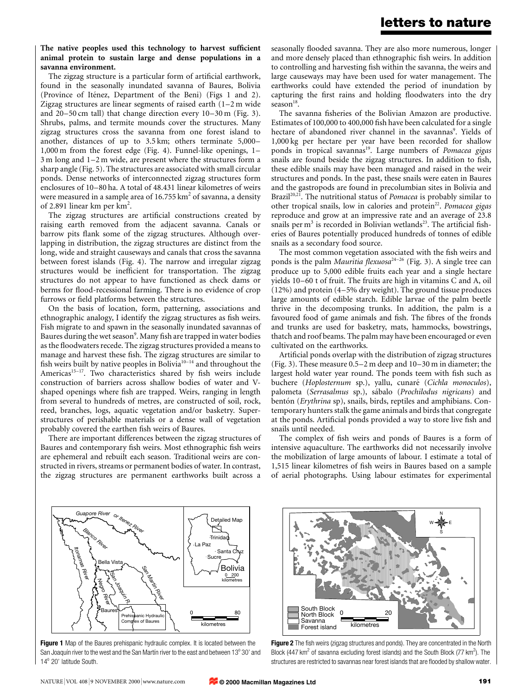### The native peoples used this technology to harvest sufficient animal protein to sustain large and dense populations in a savanna environment.

The zigzag structure is a particular form of artificial earthwork, found in the seasonally inundated savanna of Baures, Bolivia (Province of Iténez, Department of the Beni) (Figs 1 and 2). Zigzag structures are linear segments of raised earth  $(1-2 \text{ m})$  wide and  $20-50$  cm tall) that change direction every  $10-30$  m (Fig. 3). Shrubs, palms, and termite mounds cover the structures. Many zigzag structures cross the savanna from one forest island to another, distances of up to  $3.5 \text{ km}$ ; others terminate  $5,000-$ 1,000 m from the forest edge (Fig. 4). Funnel-like openings, 1-3 m long and 1-2 m wide, are present where the structures form a sharp angle (Fig. 5). The structures are associated with small circular ponds. Dense networks of interconnected zigzag structures form enclosures of 10-80 ha. A total of 48.431 linear kilometres of weirs were measured in a sample area of  $16.755 \text{ km}^2$  of savanna, a density of 2.891 linear km per km<sup>2</sup>.

The zigzag structures are artificial constructions created by raising earth removed from the adjacent savanna. Canals or barrow pits flank some of the zigzag structures. Although overlapping in distribution, the zigzag structures are distinct from the long, wide and straight causeways and canals that cross the savanna between forest islands (Fig. 4). The narrow and irregular zigzag structures would be inefficient for transportation. The zigzag structures do not appear to have functioned as check dams or berms for flood-recessional farming. There is no evidence of crop furrows or field platforms between the structures.

On the basis of location, form, patterning, associations and ethnographic analogy, I identify the zigzag structures as fish weirs. Fish migrate to and spawn in the seasonally inundated savannas of Baures during the wet season<sup>9</sup>. Many fish are trapped in water bodies as the floodwaters recede. The zigzag structures provided a means to manage and harvest these fish. The zigzag structures are similar to fish weirs built by native peoples in Bolivia $10-14$  and throughout the Americas<sup>15-17</sup>. Two characteristics shared by fish weirs include construction of barriers across shallow bodies of water and Vshaped openings where fish are trapped. Weirs, ranging in length from several to hundreds of metres, are constructed of soil, rock, reed, branches, logs, aquatic vegetation and/or basketry. Superstructures of perishable materials or a dense wall of vegetation probably covered the earthen fish weirs of Baures.

There are important differences between the zigzag structures of Baures and contemporary fish weirs. Most ethnographic fish weirs are ephemeral and rebuilt each season. Traditional weirs are constructed in rivers, streams or permanent bodies of water. In contrast, the zigzag structures are permanent earthworks built across a

seasonally flooded savanna. They are also more numerous, longer and more densely placed than ethnographic fish weirs. In addition to controlling and harvesting fish within the savanna, the weirs and large causeways may have been used for water management. The earthworks could have extended the period of inundation by capturing the first rains and holding floodwaters into the dry season $^{18}$ .

The savanna fisheries of the Bolivian Amazon are productive. Estimates of 100,000 to 400,000 fish have been calculated for a single hectare of abandoned river channel in the savannas<sup>9</sup>. Yields of 1,000 kg per hectare per year have been recorded for shallow ponds in tropical savannas<sup>19</sup>. Large numbers of Pomacea gigas snails are found beside the zigzag structures. In addition to fish, these edible snails may have been managed and raised in the weir structures and ponds. In the past, these snails were eaten in Baures and the gastropods are found in precolumbian sites in Bolivia and Brazil<sup>20,21</sup>. The nutritional status of *Pomacea* is probably similar to other tropical snails, low in calories and protein<sup>22</sup>. Pomacea gigas reproduce and grow at an impressive rate and an average of 23.8 snails per  $m<sup>3</sup>$  is recorded in Bolivian wetlands<sup>23</sup>. The artificial fisheries of Baures potentially produced hundreds of tonnes of edible snails as a secondary food source.

The most common vegetation associated with the fish weirs and ponds is the palm Mauritia flexuosa<sup>24-26</sup> (Fig. 3). A single tree can produce up to 5,000 edible fruits each year and a single hectare yields  $10-60$  t of fruit. The fruits are high in vitamins C and A, oil  $(12%)$  and protein  $(4–5%$  dry weight). The ground tissue produces large amounts of edible starch. Edible larvae of the palm beetle thrive in the decomposing trunks. In addition, the palm is a favoured food of game animals and fish. The fibres of the fronds and trunks are used for basketry, mats, hammocks, bowstrings, thatch and roof beams. The palm may have been encouraged or even cultivated on the earthworks.

Artificial ponds overlap with the distribution of zigzag structures (Fig. 3). These measure  $0.5-2$  m deep and  $10-30$  m in diameter; the largest hold water year round. The ponds teem with fish such as buchere (Hoplosternum sp.), yallu, cunaré (Cichla monoculos), palometa (Serrasalmus sp.), sábalo (Prochilodus nigricans) and bentón (Erythrina sp), snails, birds, reptiles and amphibians. Contemporary hunters stalk the game animals and birds that congregate at the ponds. Artificial ponds provided a way to store live fish and snails until needed.

The complex of fish weirs and ponds of Baures is a form of intensive aquaculture. The earthworks did not necessarily involve the mobilization of large amounts of labour. I estimate a total of 1,515 linear kilometres of fish weirs in Baures based on a sample of aerial photographs. Using labour estimates for experimental



Figure 1 Map of the Baures prehispanic hydraulic complex. It is located between the San Joaquín river to the west and the San Martín river to the east and between 13 $^{\circ}$  30' and 14<sup>°</sup> 20' latitude South.



Figure 2 The fish weirs (zigzag structures and ponds). They are concentrated in the North Block (447 km<sup>2</sup> of savanna excluding forest islands) and the South Block (77 km<sup>2</sup>). The structures are restricted to savannas near forest islands that are flooded by shallow water.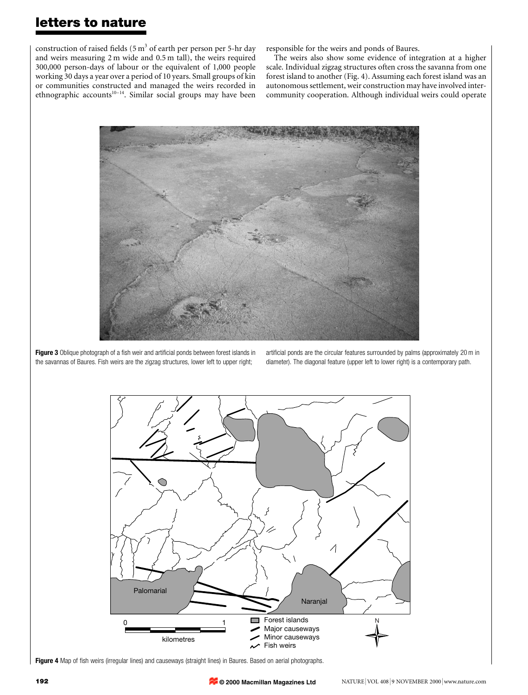## letters to nature

construction of raised fields (5  $m<sup>3</sup>$  of earth per person per 5-hr day and weirs measuring 2 m wide and 0.5 m tall), the weirs required 300,000 person-days of labour or the equivalent of 1,000 people working 30 days a year over a period of 10 years. Small groups of kin or communities constructed and managed the weirs recorded in ethnographic accounts<sup>10-14</sup>. Similar social groups may have been responsible for the weirs and ponds of Baures.

The weirs also show some evidence of integration at a higher scale. Individual zigzag structures often cross the savanna from one forest island to another (Fig. 4). Assuming each forest island was an autonomous settlement, weir construction may have involved intercommunity cooperation. Although individual weirs could operate



Figure 3 Oblique photograph of a fish weir and artificial ponds between forest islands in the savannas of Baures. Fish weirs are the zigzag structures, lower left to upper right;

artificial ponds are the circular features surrounded by palms (approximately 20 m in diameter). The diagonal feature (upper left to lower right) is a contemporary path.



Figure 4 Map of fish weirs (irregular lines) and causeways (straight lines) in Baures. Based on aerial photographs.